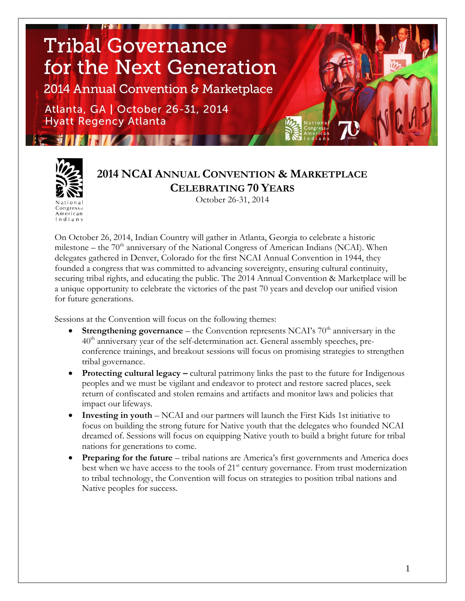# **Tribal Governance** for the Next Generation

2014 Annual Convention & Marketplace

Atlanta, GA | October 26-31, 2014 **Hyatt Regency Atlanta** 

**From the Philips of Philips** 

American Indians

# **2014 NCAI ANNUAL CONVENTION & MARKETPLACE CELEBRATING 70 YEARS**

October 26-31, 2014

On October 26, 2014, Indian Country will gather in Atlanta, Georgia to celebrate a historic milestone – the  $70<sup>th</sup>$  anniversary of the National Congress of American Indians (NCAI). When delegates gathered in Denver, Colorado for the first NCAI Annual Convention in 1944, they founded a congress that was committed to advancing sovereignty, ensuring cultural continuity, securing tribal rights, and educating the public. The 2014 Annual Convention & Marketplace will be a unique opportunity to celebrate the victories of the past 70 years and develop our unified vision for future generations.

Sessions at the Convention will focus on the following themes:

- **Strengthening governance** the Convention represents NCAI's  $70<sup>th</sup>$  anniversary in the  $40<sup>th</sup>$  anniversary year of the self-determination act. General assembly speeches, preconference trainings, and breakout sessions will focus on promising strategies to strengthen tribal governance.
- **Protecting cultural legacy –** cultural patrimony links the past to the future for Indigenous peoples and we must be vigilant and endeavor to protect and restore sacred places, seek return of confiscated and stolen remains and artifacts and monitor laws and policies that impact our lifeways.
- **Investing in youth** NCAI and our partners will launch the First Kids 1st initiative to focus on building the strong future for Native youth that the delegates who founded NCAI dreamed of. Sessions will focus on equipping Native youth to build a bright future for tribal nations for generations to come.
- **Preparing for the future** tribal nations are America's first governments and America does best when we have access to the tools of  $21<sup>st</sup>$  century governance. From trust modernization to tribal technology, the Convention will focus on strategies to position tribal nations and Native peoples for success.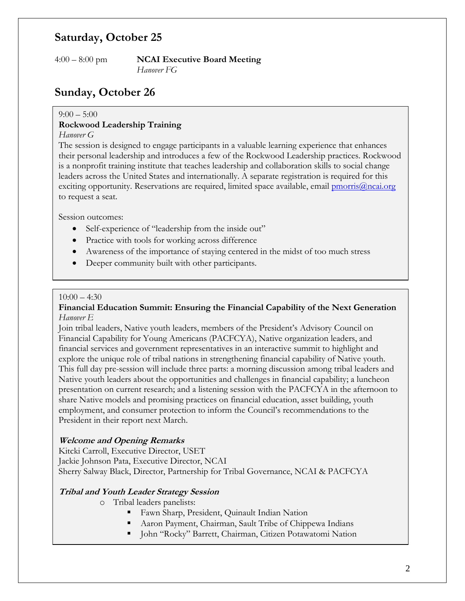### **Saturday, October 25**

4:00 – 8:00 pm **NCAI Executive Board Meeting** *Hanover FG*

## **Sunday, October 26**

#### $9:00 - 5:00$

#### **Rockwood Leadership Training**

#### *Hanover G*

The session is designed to engage participants in a valuable learning experience that enhances their personal leadership and introduces a few of the Rockwood Leadership practices. Rockwood is a nonprofit training institute that teaches leadership and collaboration skills to social change leaders across the United States and internationally. A separate registration is required for this exciting opportunity. Reservations are required, limited space available, email *pmorris@ncai.org* to request a seat.

Session outcomes:

- Self-experience of "leadership from the inside out"
- Practice with tools for working across difference
- Awareness of the importance of staying centered in the midst of too much stress
- Deeper community built with other participants.

#### $10:00 - 4:30$

#### **Financial Education Summit: Ensuring the Financial Capability of the Next Generation** *Hanover E*

Join tribal leaders, Native youth leaders, members of the President's Advisory Council on Financial Capability for Young Americans (PACFCYA), Native organization leaders, and financial services and government representatives in an interactive summit to highlight and explore the unique role of tribal nations in strengthening financial capability of Native youth. This full day pre-session will include three parts: a morning discussion among tribal leaders and Native youth leaders about the opportunities and challenges in financial capability; a luncheon presentation on current research; and a listening session with the PACFCYA in the afternoon to share Native models and promising practices on financial education, asset building, youth employment, and consumer protection to inform the Council's recommendations to the President in their report next March.

#### **Welcome and Opening Remarks**

Kitcki Carroll, Executive Director, USET Jackie Johnson Pata, Executive Director, NCAI Sherry Salway Black, Director, Partnership for Tribal Governance, NCAI & PACFCYA

#### **Tribal and Youth Leader Strategy Session**

- o Tribal leaders panelists:
	- Fawn Sharp, President, Quinault Indian Nation
	- Aaron Payment, Chairman, Sault Tribe of Chippewa Indians
	- John "Rocky" Barrett, Chairman, Citizen Potawatomi Nation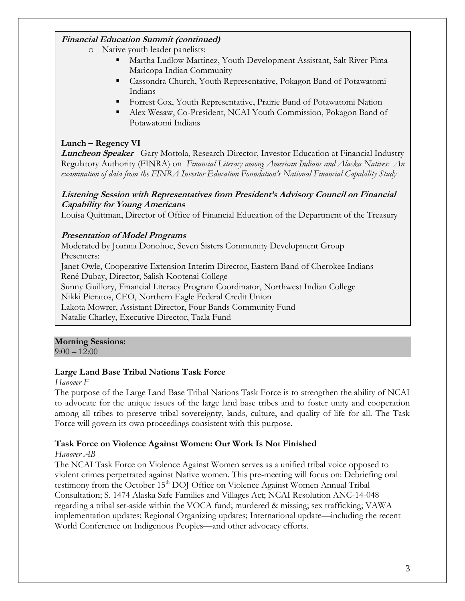### **Financial Education Summit (continued)**

- o Native youth leader panelists:
	- Martha Ludlow Martinez, Youth Development Assistant, Salt River Pima-Maricopa Indian Community
	- Cassondra Church, Youth Representative, Pokagon Band of Potawatomi Indians
	- Forrest Cox, Youth Representative, Prairie Band of Potawatomi Nation
	- Alex Wesaw, Co-President, NCAI Youth Commission, Pokagon Band of Potawatomi Indians

#### **Lunch – Regency VI**

**Luncheon Speaker** - Gary Mottola, Research Director, Investor Education at Financial Industry Regulatory Authority (FINRA) on *Financial Literacy among American Indians and Alaska Natives: An examination of data from the FINRA Investor Education Foundation's National Financial Capability Study*

#### **Listening Session with Representatives from President's Advisory Council on Financial Capability for Young Americans**

Louisa Quittman, Director of Office of Financial Education of the Department of the Treasury

#### **Presentation of Model Programs**

Moderated by Joanna Donohoe, Seven Sisters Community Development Group Presenters:

Janet Owle, Cooperative Extension Interim Director, Eastern Band of Cherokee Indians René Dubay, Director, Salish Kootenai College

Sunny Guillory, Financial Literacy Program Coordinator, Northwest Indian College Nikki Pieratos, CEO, Northern Eagle Federal Credit Union

Lakota Mowrer, Assistant Director, Four Bands Community Fund Natalie Charley, Executive Director, Taala Fund

### **Morning Sessions:**

 $9:00 - 12:00$ 

#### **Large Land Base Tribal Nations Task Force**

#### *Hanover F*

The purpose of the Large Land Base Tribal Nations Task Force is to strengthen the ability of NCAI to advocate for the unique issues of the large land base tribes and to foster unity and cooperation among all tribes to preserve tribal sovereignty, lands, culture, and quality of life for all. The Task Force will govern its own proceedings consistent with this purpose.

#### **Task Force on Violence Against Women: Our Work Is Not Finished**

#### *Hanover AB*

The NCAI Task Force on Violence Against Women serves as a unified tribal voice opposed to violent crimes perpetrated against Native women. This pre-meeting will focus on: Debriefing oral testimony from the October 15<sup>th</sup> DOJ Office on Violence Against Women Annual Tribal Consultation; S. 1474 Alaska Safe Families and Villages Act; NCAI Resolution ANC-14-048 regarding a tribal set-aside within the VOCA fund; murdered & missing; sex trafficking; VAWA implementation updates; Regional Organizing updates; International update—including the recent World Conference on Indigenous Peoples—and other advocacy efforts.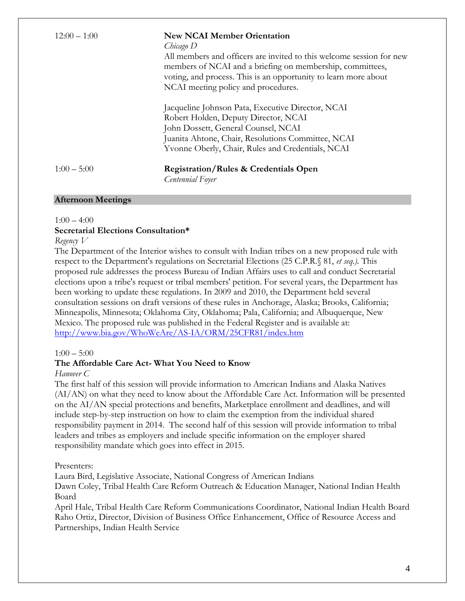| $12:00 - 1:00$ | <b>New NCAI Member Orientation</b><br>Chicago D<br>All members and officers are invited to this welcome session for new<br>members of NCAI and a briefing on membership, committees,<br>voting, and process. This is an opportunity to learn more about<br>NCAI meeting policy and procedures. |
|----------------|------------------------------------------------------------------------------------------------------------------------------------------------------------------------------------------------------------------------------------------------------------------------------------------------|
|                | Jacqueline Johnson Pata, Executive Director, NCAI<br>Robert Holden, Deputy Director, NCAI<br>John Dossett, General Counsel, NCAI<br>Juanita Ahtone, Chair, Resolutions Committee, NCAI<br>Yvonne Oberly, Chair, Rules and Credentials, NCAI                                                    |
| $1:00 - 5:00$  | <b>Registration/Rules &amp; Credentials Open</b><br>Centennial Foyer                                                                                                                                                                                                                           |

#### **Afternoon Meetings**

#### $1:00 - 4:00$

#### **Secretarial Elections Consultation\***

#### *Regency V*

The Department of the Interior wishes to consult with Indian tribes on a new proposed rule with respect to the Department's regulations on Secretarial Elections (25 C.P.R.§ 81, *et seq.).* This proposed rule addresses the process Bureau of Indian Affairs uses to call and conduct Secretarial elections upon a tribe's request or tribal members' petition. For several years, the Department has been working to update these regulations. In 2009 and 2010, the Department held several consultation sessions on draft versions of these rules in Anchorage, Alaska; Brooks, California; Minneapolis, Minnesota; Oklahoma City, Oklahoma; Pala, California; and Albuquerque, New Mexico. The proposed rule was published in the Federal Register and is available at: <http://www.bia.gov/WhoWeAre/AS-IA/ORM/25CFR81/index.htm>

#### $1:00 - 5:00$

#### **The Affordable Care Act- What You Need to Know**

#### *Hanover C*

The first half of this session will provide information to American Indians and Alaska Natives (AI/AN) on what they need to know about the Affordable Care Act. Information will be presented on the AI/AN special protections and benefits, Marketplace enrollment and deadlines, and will include step-by-step instruction on how to claim the exemption from the individual shared responsibility payment in 2014. The second half of this session will provide information to tribal leaders and tribes as employers and include specific information on the employer shared responsibility mandate which goes into effect in 2015.

#### Presenters:

Laura Bird, Legislative Associate, National Congress of American Indians

Dawn Coley, Tribal Health Care Reform Outreach & Education Manager, National Indian Health Board

April Hale, Tribal Health Care Reform Communications Coordinator, National Indian Health Board Raho Ortiz, Director, Division of Business Office Enhancement, Office of Resource Access and Partnerships, Indian Health Service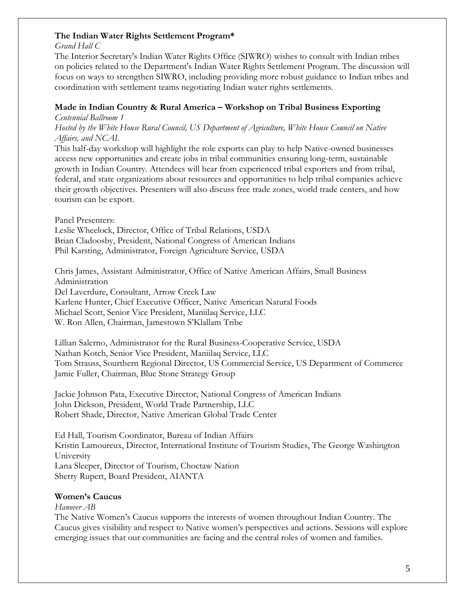#### **The Indian Water Rights Settlement Program\***

*Grand Hall C*

The Interior Secretary's Indian Water Rights Office (SIWRO) wishes to consult with Indian tribes on policies related to the Department's Indian Water Rights Settlement Program. The discussion will focus on ways to strengthen SIWRO, including providing more robust guidance to Indian tribes and coordination with settlement teams negotiating Indian water rights settlements.

#### **Made in Indian Country & Rural America – Workshop on Tribal Business Exporting**

*Centennial Ballroom 1*

*Hosted by the White House Rural Council, US Department of Agriculture, White House Council on Native Affairs, and NCAI.*

This half-day workshop will highlight the role exports can play to help Native-owned businesses access new opportunities and create jobs in tribal communities ensuring long-term, sustainable growth in Indian Country. Attendees will hear from experienced tribal exporters and from tribal, federal, and state organizations about resources and opportunities to help tribal companies achieve their growth objectives. Presenters will also discuss free trade zones, world trade centers, and how tourism can be export.

Panel Presenters:

Leslie Wheelock, Director, Office of Tribal Relations, USDA Brian Cladoosby, President, National Congress of American Indians Phil Karsting, Administrator, Foreign Agriculture Service, USDA

Chris James, Assistant Administrator, Office of Native American Affairs, Small Business Administration Del Laverdure, Consultant, Arrow Creek Law Karlene Hunter, Chief Executive Officer, Native American Natural Foods Michael Scott, Senior Vice President, Maniilaq Service, LLC W. Ron Allen, Chairman, Jamestown S'Klallam Tribe

Lillian Salerno, Administrator for the Rural Business-Cooperative Service, USDA Nathan Kotch, Senior Vice President, Maniilaq Service, LLC Tom Strauss, Sourthern Regional Director, US Commercial Service, US Department of Commerce Jamie Fuller, Chairman, Blue Stone Strategy Group

Jackie Johnson Pata, Executive Director, National Congress of American Indians John Dickson, President, World Trade Partnership, LLC Robert Shade, Director, Native American Global Trade Center

Ed Hall, Tourism Coordinator, Bureau of Indian Affairs Kristin Lamoureux, Director, International Institute of Tourism Studies, The George Washington University Lana Sleeper, Director of Tourism, Choctaw Nation Sherry Rupert, Board President, AIANTA

### **Women's Caucus**

*Hanover AB*

The Native Women's Caucus supports the interests of women throughout Indian Country. The Caucus gives visibility and respect to Native women's perspectives and actions. Sessions will explore emerging issues that our communities are facing and the central roles of women and families.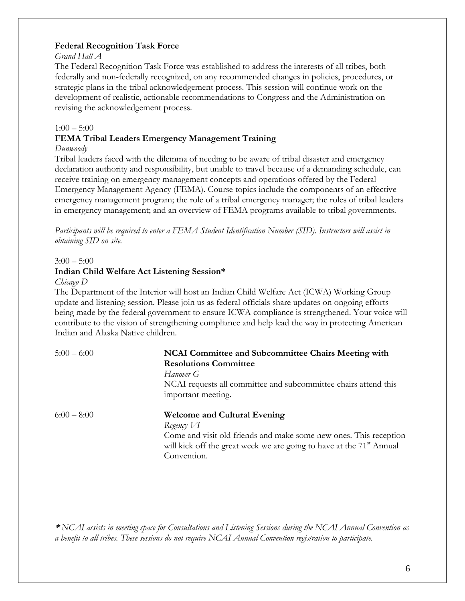#### **Federal Recognition Task Force**

#### *Grand Hall A*

The Federal Recognition Task Force was established to address the interests of all tribes, both federally and non-federally recognized, on any recommended changes in policies, procedures, or strategic plans in the tribal acknowledgement process. This session will continue work on the development of realistic, actionable recommendations to Congress and the Administration on revising the acknowledgement process.

#### $1:00 - 5:00$

#### **FEMA Tribal Leaders Emergency Management Training**

#### *Dunwoody*

Tribal leaders faced with the dilemma of needing to be aware of tribal disaster and emergency declaration authority and responsibility, but unable to travel because of a demanding schedule, can receive training on emergency management concepts and operations offered by the Federal Emergency Management Agency (FEMA). Course topics include the components of an effective emergency management program; the role of a tribal emergency manager; the roles of tribal leaders in emergency management; and an overview of FEMA programs available to tribal governments.

*Participants will be required to enter a FEMA Student Identification Number (SID). Instructors will assist in obtaining SID on site.*

#### $3:00 - 5:00$

#### **Indian Child Welfare Act Listening Session\***

#### *Chicago D*

The Department of the Interior will host an Indian Child Welfare Act (ICWA) Working Group update and listening session. Please join us as federal officials share updates on ongoing efforts being made by the federal government to ensure ICWA compliance is strengthened. Your voice will contribute to the vision of strengthening compliance and help lead the way in protecting American Indian and Alaska Native children.

| $5:00 - 6:00$ | NCAI Committee and Subcommittee Chairs Meeting with                              |  |
|---------------|----------------------------------------------------------------------------------|--|
|               | <b>Resolutions Committee</b>                                                     |  |
|               | Hanover G                                                                        |  |
|               | NCAI requests all committee and subcommittee chairs attend this                  |  |
|               | important meeting.                                                               |  |
| $6:00-8:00$   | <b>Welcome and Cultural Evening</b>                                              |  |
|               | Regency $VI$                                                                     |  |
|               | Come and visit old friends and make some new ones. This reception                |  |
|               | will kick off the great week we are going to have at the 71 <sup>st</sup> Annual |  |
|               | Convention.                                                                      |  |

**\*** *NCAI assists in meeting space for Consultations and Listening Sessions during the NCAI Annual Convention as a benefit to all tribes. These sessions do not require NCAI Annual Convention registration to participate.*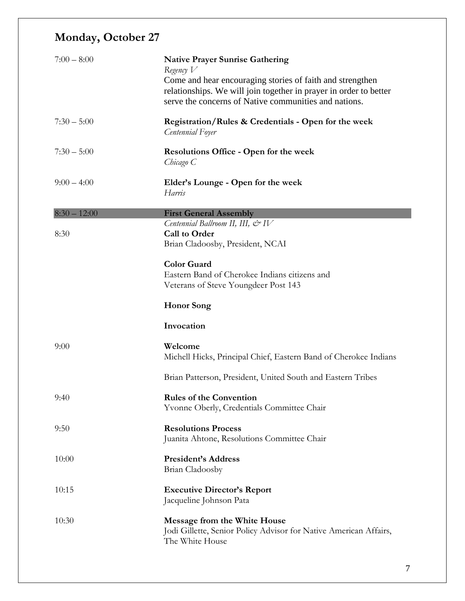# **Monday, October 27**

| $7:00 - 8:00$  | <b>Native Prayer Sunrise Gathering</b><br>Regency $V$<br>Come and hear encouraging stories of faith and strengthen<br>relationships. We will join together in prayer in order to better<br>serve the concerns of Native communities and nations. |
|----------------|--------------------------------------------------------------------------------------------------------------------------------------------------------------------------------------------------------------------------------------------------|
| $7:30 - 5:00$  | Registration/Rules & Credentials - Open for the week<br>Centennial Foyer                                                                                                                                                                         |
| $7:30 - 5:00$  | <b>Resolutions Office - Open for the week</b><br>Chicago C                                                                                                                                                                                       |
| $9:00 - 4:00$  | Elder's Lounge - Open for the week<br>Harris                                                                                                                                                                                                     |
| $8:30 - 12:00$ | <b>First General Assembly</b>                                                                                                                                                                                                                    |
| 8:30           | Centennial Ballroom II, III, $\mathcal{Q}$ <sup>1</sup> V<br><b>Call to Order</b><br>Brian Cladoosby, President, NCAI                                                                                                                            |
|                | <b>Color Guard</b><br>Eastern Band of Cherokee Indians citizens and<br>Veterans of Steve Youngdeer Post 143                                                                                                                                      |
|                | <b>Honor</b> Song                                                                                                                                                                                                                                |
|                | Invocation                                                                                                                                                                                                                                       |
| 9:00           | Welcome<br>Michell Hicks, Principal Chief, Eastern Band of Cherokee Indians                                                                                                                                                                      |
|                | Brian Patterson, President, United South and Eastern Tribes                                                                                                                                                                                      |
| 9:40           | <b>Rules of the Convention</b><br>Yvonne Oberly, Credentials Committee Chair                                                                                                                                                                     |
| 9:50           | <b>Resolutions Process</b><br>Juanita Ahtone, Resolutions Committee Chair                                                                                                                                                                        |
| 10:00          | <b>President's Address</b><br>Brian Cladoosby                                                                                                                                                                                                    |
| 10:15          | <b>Executive Director's Report</b><br>Jacqueline Johnson Pata                                                                                                                                                                                    |
| 10:30          | Message from the White House<br>Jodi Gillette, Senior Policy Advisor for Native American Affairs,<br>The White House                                                                                                                             |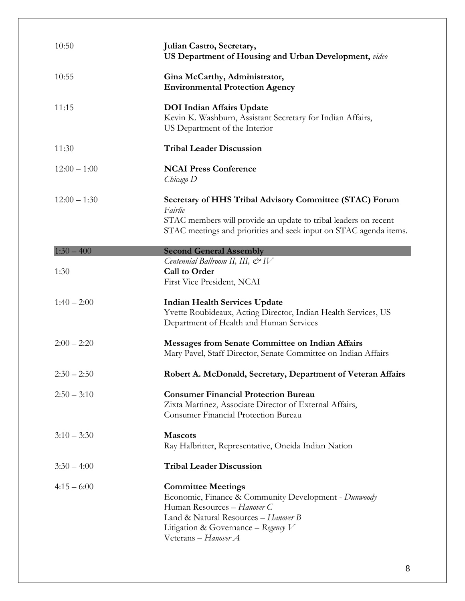| 10:50          | Julian Castro, Secretary,<br>US Department of Housing and Urban Development, video                                                                                                                         |
|----------------|------------------------------------------------------------------------------------------------------------------------------------------------------------------------------------------------------------|
| 10:55          | Gina McCarthy, Administrator,<br><b>Environmental Protection Agency</b>                                                                                                                                    |
| 11:15          | <b>DOI</b> Indian Affairs Update<br>Kevin K. Washburn, Assistant Secretary for Indian Affairs,<br>US Department of the Interior                                                                            |
| 11:30          | <b>Tribal Leader Discussion</b>                                                                                                                                                                            |
| $12:00 - 1:00$ | <b>NCAI Press Conference</b><br>Chicago D                                                                                                                                                                  |
| $12:00 - 1:30$ | Secretary of HHS Tribal Advisory Committee (STAC) Forum<br>Fairlie<br>STAC members will provide an update to tribal leaders on recent<br>STAC meetings and priorities and seek input on STAC agenda items. |
| $1:30 - 400$   | <b>Second General Assembly</b>                                                                                                                                                                             |
| 1:30           | Centennial Ballroom II, III, $\mathcal{Q}$ IV<br><b>Call to Order</b><br>First Vice President, NCAI                                                                                                        |
| $1:40 - 2:00$  | <b>Indian Health Services Update</b><br>Yvette Roubideaux, Acting Director, Indian Health Services, US<br>Department of Health and Human Services                                                          |
| $2:00 - 2:20$  | <b>Messages from Senate Committee on Indian Affairs</b><br>Mary Pavel, Staff Director, Senate Committee on Indian Affairs                                                                                  |
| $2:30 - 2:50$  | Robert A. McDonald, Secretary, Department of Veteran Affairs                                                                                                                                               |
| $2:50 - 3:10$  | <b>Consumer Financial Protection Bureau</b><br>Zixta Martinez, Associate Director of External Affairs,<br><b>Consumer Financial Protection Bureau</b>                                                      |
| $3:10 - 3:30$  | <b>Mascots</b><br>Ray Halbritter, Representative, Oneida Indian Nation                                                                                                                                     |
| $3:30 - 4:00$  | <b>Tribal Leader Discussion</b>                                                                                                                                                                            |
| $4:15 - 6:00$  | <b>Committee Meetings</b><br>Economic, Finance & Community Development - Dunwoody                                                                                                                          |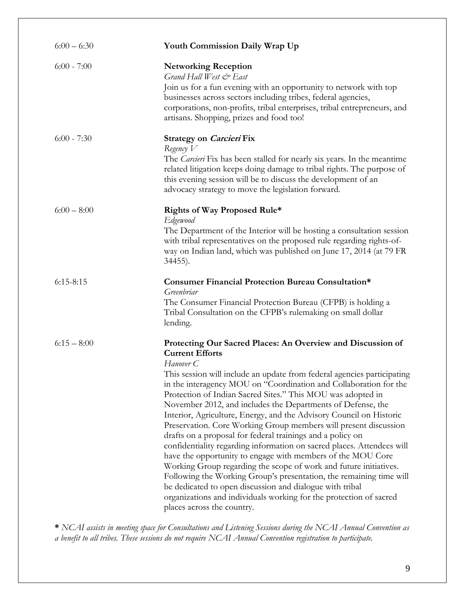| $6:00 - 6:30$ | <b>Youth Commission Daily Wrap Up</b>                                                                                                                                                                                                                                                                                                                                                                                                                                                                                                                                                                                                                                                                                                                                                                                                                                                                                                                                                                                                                     |
|---------------|-----------------------------------------------------------------------------------------------------------------------------------------------------------------------------------------------------------------------------------------------------------------------------------------------------------------------------------------------------------------------------------------------------------------------------------------------------------------------------------------------------------------------------------------------------------------------------------------------------------------------------------------------------------------------------------------------------------------------------------------------------------------------------------------------------------------------------------------------------------------------------------------------------------------------------------------------------------------------------------------------------------------------------------------------------------|
| $6:00 - 7:00$ | <b>Networking Reception</b><br>Grand Hall West & East<br>Join us for a fun evening with an opportunity to network with top<br>businesses across sectors including tribes, federal agencies,<br>corporations, non-profits, tribal enterprises, tribal entrepreneurs, and<br>artisans. Shopping, prizes and food too!                                                                                                                                                                                                                                                                                                                                                                                                                                                                                                                                                                                                                                                                                                                                       |
| $6:00 - 7:30$ | Strategy on Carcieri Fix<br>Regency $V$<br>The Carcieri Fix has been stalled for nearly six years. In the meantime<br>related litigation keeps doing damage to tribal rights. The purpose of<br>this evening session will be to discuss the development of an<br>advocacy strategy to move the legislation forward.                                                                                                                                                                                                                                                                                                                                                                                                                                                                                                                                                                                                                                                                                                                                       |
| $6:00 - 8:00$ | Rights of Way Proposed Rule*<br><b>Edgewood</b><br>The Department of the Interior will be hosting a consultation session<br>with tribal representatives on the proposed rule regarding rights-of-<br>way on Indian land, which was published on June 17, 2014 (at 79 FR<br>34455).                                                                                                                                                                                                                                                                                                                                                                                                                                                                                                                                                                                                                                                                                                                                                                        |
| $6:15-8:15$   | Consumer Financial Protection Bureau Consultation*<br>Greenbriar<br>The Consumer Financial Protection Bureau (CFPB) is holding a<br>Tribal Consultation on the CFPB's rulemaking on small dollar<br>lending.                                                                                                                                                                                                                                                                                                                                                                                                                                                                                                                                                                                                                                                                                                                                                                                                                                              |
| $6:15 - 8:00$ | Protecting Our Sacred Places: An Overview and Discussion of<br><b>Current Efforts</b><br>Hanover <sub>C</sub><br>This session will include an update from federal agencies participating<br>in the interagency MOU on "Coordination and Collaboration for the<br>Protection of Indian Sacred Sites." This MOU was adopted in<br>November 2012, and includes the Departments of Defense, the<br>Interior, Agriculture, Energy, and the Advisory Council on Historic<br>Preservation. Core Working Group members will present discussion<br>drafts on a proposal for federal trainings and a policy on<br>confidentiality regarding information on sacred places. Attendees will<br>have the opportunity to engage with members of the MOU Core<br>Working Group regarding the scope of work and future initiatives.<br>Following the Working Group's presentation, the remaining time will<br>be dedicated to open discussion and dialogue with tribal<br>organizations and individuals working for the protection of sacred<br>places across the country. |

**\*** *NCAI assists in meeting space for Consultations and Listening Sessions during the NCAI Annual Convention as a benefit to all tribes. These sessions do not require NCAI Annual Convention registration to participate.*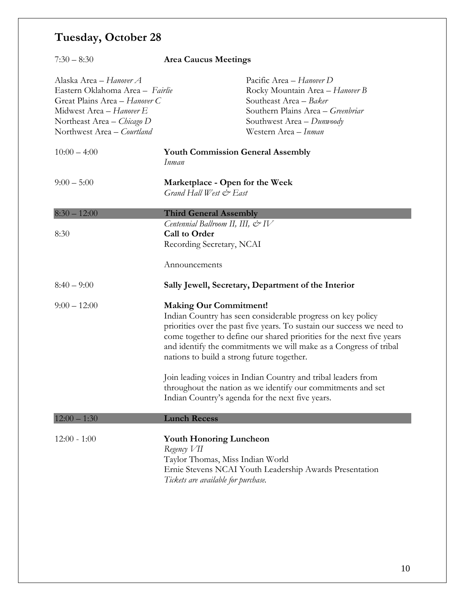# **Tuesday, October 28**

| $7:30 - 8:30$                                                                                                                                                                       | <b>Area Caucus Meetings</b>                                                                                              |                                                                                                                                                                                                                                                                                     |
|-------------------------------------------------------------------------------------------------------------------------------------------------------------------------------------|--------------------------------------------------------------------------------------------------------------------------|-------------------------------------------------------------------------------------------------------------------------------------------------------------------------------------------------------------------------------------------------------------------------------------|
| Alaska Area - Hanover A<br>Eastern Oklahoma Area - Fairlie<br>Great Plains Area - Hanover C<br>Midwest Area - Hanover E<br>Northeast Area – Chicago D<br>Northwest Area - Courtland |                                                                                                                          | Pacific Area - Hanover D<br>Rocky Mountain Area - Hanover B<br>Southeast Area - Baker<br>Southern Plains Area - Greenbriar<br>Southwest Area - Dunwoody<br>Western Area - Inman                                                                                                     |
| $10:00 - 4:00$                                                                                                                                                                      | <b>Youth Commission General Assembly</b><br>Inman                                                                        |                                                                                                                                                                                                                                                                                     |
| $9:00-5:00$                                                                                                                                                                         | Marketplace - Open for the Week<br>Grand Hall West & East                                                                |                                                                                                                                                                                                                                                                                     |
| $8:30 - 12:00$                                                                                                                                                                      | <b>Third General Assembly</b>                                                                                            |                                                                                                                                                                                                                                                                                     |
| 8:30                                                                                                                                                                                | Centennial Ballroom II, III, & IV<br><b>Call to Order</b><br>Recording Secretary, NCAI                                   |                                                                                                                                                                                                                                                                                     |
|                                                                                                                                                                                     | Announcements                                                                                                            |                                                                                                                                                                                                                                                                                     |
| $8:40 - 9:00$                                                                                                                                                                       |                                                                                                                          | Sally Jewell, Secretary, Department of the Interior                                                                                                                                                                                                                                 |
| $9:00 - 12:00$                                                                                                                                                                      | <b>Making Our Commitment!</b><br>nations to build a strong future together.                                              | Indian Country has seen considerable progress on key policy<br>priorities over the past five years. To sustain our success we need to<br>come together to define our shared priorities for the next five years<br>and identify the commitments we will make as a Congress of tribal |
|                                                                                                                                                                                     |                                                                                                                          | Join leading voices in Indian Country and tribal leaders from<br>throughout the nation as we identify our commitments and set<br>Indian Country's agenda for the next five years.                                                                                                   |
| $12:00 - 1:30$                                                                                                                                                                      | <b>Lunch Recess</b>                                                                                                      |                                                                                                                                                                                                                                                                                     |
| $12:00 - 1:00$                                                                                                                                                                      | <b>Youth Honoring Luncheon</b><br>Regency VII<br>Taylor Thomas, Miss Indian World<br>Tickets are available for purchase. | Ernie Stevens NCAI Youth Leadership Awards Presentation                                                                                                                                                                                                                             |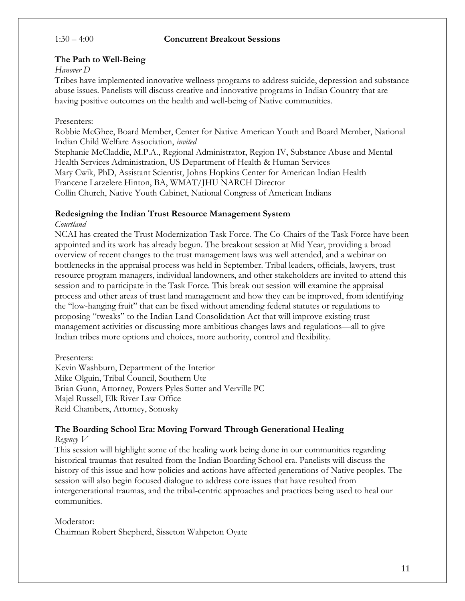#### 1:30 – 4:00 **Concurrent Breakout Sessions**

#### **The Path to Well-Being**

#### *Hanover D*

Tribes have implemented innovative wellness programs to address suicide, depression and substance abuse issues. Panelists will discuss creative and innovative programs in Indian Country that are having positive outcomes on the health and well-being of Native communities.

#### Presenters:

Robbie McGhee, Board Member, Center for Native American Youth and Board Member, National Indian Child Welfare Association, *invited* Stephanie McCladdie, M.P.A., Regional Administrator, Region IV, Substance Abuse and Mental Health Services Administration, US Department of Health & Human Services Mary Cwik, PhD, Assistant Scientist, Johns Hopkins Center for American Indian Health Francene Larzelere Hinton, BA, WMAT/JHU NARCH Director Collin Church, Native Youth Cabinet, National Congress of American Indians

#### **Redesigning the Indian Trust Resource Management System**

#### *Courtland*

NCAI has created the Trust Modernization Task Force. The Co-Chairs of the Task Force have been appointed and its work has already begun. The breakout session at Mid Year, providing a broad overview of recent changes to the trust management laws was well attended, and a webinar on bottlenecks in the appraisal process was held in September. Tribal leaders, officials, lawyers, trust resource program managers, individual landowners, and other stakeholders are invited to attend this session and to participate in the Task Force. This break out session will examine the appraisal process and other areas of trust land management and how they can be improved, from identifying the "low-hanging fruit" that can be fixed without amending federal statutes or regulations to proposing "tweaks" to the Indian Land Consolidation Act that will improve existing trust management activities or discussing more ambitious changes laws and regulations—all to give Indian tribes more options and choices, more authority, control and flexibility.

Presenters:

Kevin Washburn, Department of the Interior Mike Olguin, Tribal Council, Southern Ute Brian Gunn, Attorney, Powers Pyles Sutter and Verville PC Majel Russell, Elk River Law Office Reid Chambers, Attorney, Sonosky

### **The Boarding School Era: Moving Forward Through Generational Healing**

#### *Regency V*

This session will highlight some of the healing work being done in our communities regarding historical traumas that resulted from the Indian Boarding School era. Panelists will discuss the history of this issue and how policies and actions have affected generations of Native peoples. The session will also begin focused dialogue to address core issues that have resulted from intergenerational traumas, and the tribal-centric approaches and practices being used to heal our communities.

Moderator: Chairman Robert Shepherd, Sisseton Wahpeton Oyate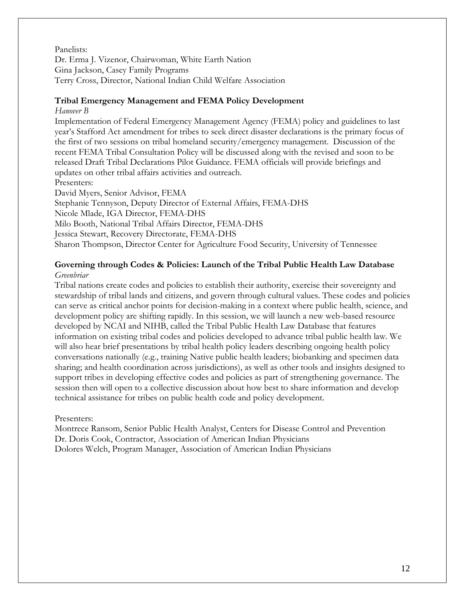#### Panelists:

Dr. Erma J. Vizenor, Chairwoman, White Earth Nation Gina Jackson, Casey Family Programs Terry Cross, Director, National Indian Child Welfare Association

#### **Tribal Emergency Management and FEMA Policy Development**

#### *Hanover B*

Implementation of Federal Emergency Management Agency (FEMA) policy and guidelines to last year's Stafford Act amendment for tribes to seek direct disaster declarations is the primary focus of the first of two sessions on tribal homeland security/emergency management. Discussion of the recent FEMA Tribal Consultation Policy will be discussed along with the revised and soon to be released Draft Tribal Declarations Pilot Guidance. FEMA officials will provide briefings and updates on other tribal affairs activities and outreach.

Presenters:

David Myers, Senior Advisor, FEMA

Stephanie Tennyson, Deputy Director of External Affairs, FEMA-DHS

Nicole Mlade, IGA Director, FEMA-DHS

Milo Booth, National Tribal Affairs Director, FEMA-DHS

Jessica Stewart, Recovery Directorate, FEMA-DHS

Sharon Thompson, Director Center for Agriculture Food Security, University of Tennessee

### **Governing through Codes & Policies: Launch of the Tribal Public Health Law Database** *Greenbriar*

Tribal nations create codes and policies to establish their authority, exercise their sovereignty and stewardship of tribal lands and citizens, and govern through cultural values. These codes and policies can serve as critical anchor points for decision-making in a context where public health, science, and development policy are shifting rapidly. In this session, we will launch a new web-based resource developed by NCAI and NIHB, called the Tribal Public Health Law Database that features information on existing tribal codes and policies developed to advance tribal public health law. We will also hear brief presentations by tribal health policy leaders describing ongoing health policy conversations nationally (e.g., training Native public health leaders; biobanking and specimen data sharing; and health coordination across jurisdictions), as well as other tools and insights designed to support tribes in developing effective codes and policies as part of strengthening governance. The session then will open to a collective discussion about how best to share information and develop technical assistance for tribes on public health code and policy development.

#### Presenters:

Montrece Ransom, Senior Public Health Analyst, Centers for Disease Control and Prevention Dr. Doris Cook, Contractor, Association of American Indian Physicians Dolores Welch, Program Manager, Association of American Indian Physicians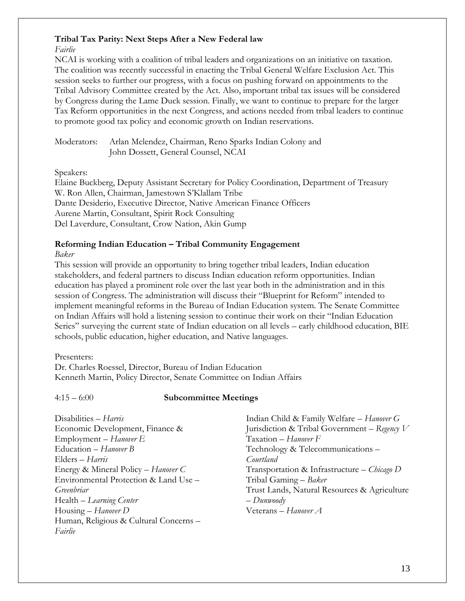#### **Tribal Tax Parity: Next Steps After a New Federal law**

*Fairlie*

NCAI is working with a coalition of tribal leaders and organizations on an initiative on taxation. The coalition was recently successful in enacting the Tribal General Welfare Exclusion Act. This session seeks to further our progress, with a focus on pushing forward on appointments to the Tribal Advisory Committee created by the Act. Also, important tribal tax issues will be considered by Congress during the Lame Duck session. Finally, we want to continue to prepare for the larger Tax Reform opportunities in the next Congress, and actions needed from tribal leaders to continue to promote good tax policy and economic growth on Indian reservations.

Moderators: Arlan Melendez, Chairman, Reno Sparks Indian Colony and John Dossett, General Counsel, NCAI

Speakers:

Elaine Buckberg, Deputy Assistant Secretary for Policy Coordination, Department of Treasury W. Ron Allen, Chairman, Jamestown S'Klallam Tribe Dante Desiderio, Executive Director, Native American Finance Officers Aurene Martin, Consultant, Spirit Rock Consulting Del Laverdure, Consultant, Crow Nation, Akin Gump

#### **Reforming Indian Education – Tribal Community Engagement**

*Baker*

This session will provide an opportunity to bring together tribal leaders, Indian education stakeholders, and federal partners to discuss Indian education reform opportunities. Indian education has played a prominent role over the last year both in the administration and in this session of Congress. The administration will discuss their "Blueprint for Reform" intended to implement meaningful reforms in the Bureau of Indian Education system. The Senate Committee on Indian Affairs will hold a listening session to continue their work on their "Indian Education Series" surveying the current state of Indian education on all levels – early childhood education, BIE schools, public education, higher education, and Native languages.

Presenters:

Dr. Charles Roessel, Director, Bureau of Indian Education Kenneth Martin, Policy Director, Senate Committee on Indian Affairs

### 4:15 – 6:00 **Subcommittee Meetings**

Disabilities – *Harris* Economic Development, Finance & Employment – *Hanover E* Education – *Hanover B* Elders – *Harris* Energy & Mineral Policy – *Hanover C* Environmental Protection & Land Use – *Greenbriar* Health – *Learning Center* Housing – *Hanover D* Human, Religious & Cultural Concerns – *Fairlie*

Indian Child & Family Welfare – *Hanover G* Jurisdiction & Tribal Government – *Regency V* Taxation – *Hanover F* Technology & Telecommunications – *Courtland* Transportation & Infrastructure – *Chicago D* Tribal Gaming – *Baker* Trust Lands, Natural Resources & Agriculture – *Dunwoody* Veterans – *Hanover A*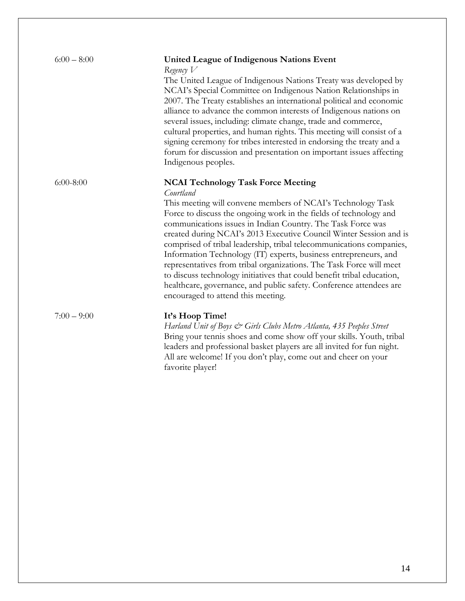| $6:00 - 8:00$ | <b>United League of Indigenous Nations Event</b><br>Regency $V$<br>The United League of Indigenous Nations Treaty was developed by<br>NCAI's Special Committee on Indigenous Nation Relationships in<br>2007. The Treaty establishes an international political and economic<br>alliance to advance the common interests of Indigenous nations on<br>several issues, including: climate change, trade and commerce,<br>cultural properties, and human rights. This meeting will consist of a<br>signing ceremony for tribes interested in endorsing the treaty and a<br>forum for discussion and presentation on important issues affecting<br>Indigenous peoples.                                                                        |
|---------------|-------------------------------------------------------------------------------------------------------------------------------------------------------------------------------------------------------------------------------------------------------------------------------------------------------------------------------------------------------------------------------------------------------------------------------------------------------------------------------------------------------------------------------------------------------------------------------------------------------------------------------------------------------------------------------------------------------------------------------------------|
| $6:00-8:00$   | <b>NCAI Technology Task Force Meeting</b><br>Courtland<br>This meeting will convene members of NCAI's Technology Task<br>Force to discuss the ongoing work in the fields of technology and<br>communications issues in Indian Country. The Task Force was<br>created during NCAI's 2013 Executive Council Winter Session and is<br>comprised of tribal leadership, tribal telecommunications companies,<br>Information Technology (IT) experts, business entrepreneurs, and<br>representatives from tribal organizations. The Task Force will meet<br>to discuss technology initiatives that could benefit tribal education,<br>healthcare, governance, and public safety. Conference attendees are<br>encouraged to attend this meeting. |
| $7:00 - 9:00$ | It's Hoop Time!<br>Harland Unit of Boys & Girls Clubs Metro Atlanta, 435 Peeples Street<br>Bring your tennis shoes and come show off your skills. Youth, tribal<br>leaders and professional basket players are all invited for fun night.                                                                                                                                                                                                                                                                                                                                                                                                                                                                                                 |

favorite player!

All are welcome! If you don't play, come out and cheer on your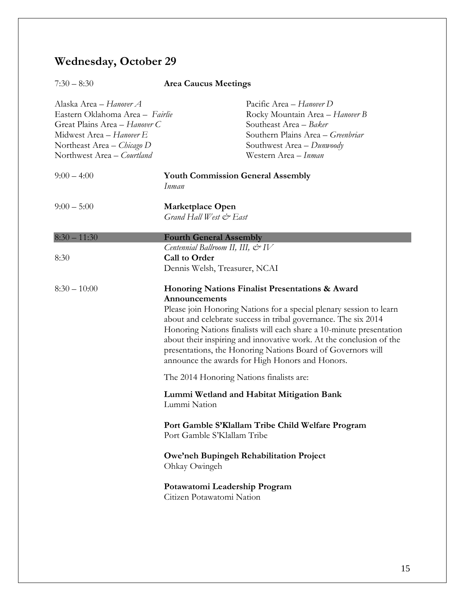# **Wednesday, October 29**

# 7:30 – 8:30 **Area Caucus Meetings**

| Alaska Area – Hanover A<br>Eastern Oklahoma Area - Fairlie<br>Great Plains Area - Hanover C<br>Midwest Area - Hanover E<br>Northeast Area – Chicago D<br>Northwest Area - Courtland |                                                                                                                    | Pacific Area - Hanover D<br>Rocky Mountain Area - Hanover B<br>Southeast Area - Baker<br>Southern Plains Area - Greenbriar<br>Southwest Area - Dunwoody<br>Western Area - Inman                                                                                                                                                                                                                                                                          |
|-------------------------------------------------------------------------------------------------------------------------------------------------------------------------------------|--------------------------------------------------------------------------------------------------------------------|----------------------------------------------------------------------------------------------------------------------------------------------------------------------------------------------------------------------------------------------------------------------------------------------------------------------------------------------------------------------------------------------------------------------------------------------------------|
| $9:00 - 4:00$                                                                                                                                                                       | <b>Youth Commission General Assembly</b><br>Inman                                                                  |                                                                                                                                                                                                                                                                                                                                                                                                                                                          |
| $9:00 - 5:00$                                                                                                                                                                       | Marketplace Open<br>Grand Hall West & East                                                                         |                                                                                                                                                                                                                                                                                                                                                                                                                                                          |
| $8:30 - 11:30$                                                                                                                                                                      | <b>Fourth General Assembly</b>                                                                                     |                                                                                                                                                                                                                                                                                                                                                                                                                                                          |
| 8:30                                                                                                                                                                                | Centennial Ballroom II, III, $\mathcal{Q}$ <sup>1</sup> V<br><b>Call to Order</b><br>Dennis Welsh, Treasurer, NCAI |                                                                                                                                                                                                                                                                                                                                                                                                                                                          |
| $8:30 - 10:00$                                                                                                                                                                      | Announcements                                                                                                      | Honoring Nations Finalist Presentations & Award<br>Please join Honoring Nations for a special plenary session to learn<br>about and celebrate success in tribal governance. The six 2014<br>Honoring Nations finalists will each share a 10-minute presentation<br>about their inspiring and innovative work. At the conclusion of the<br>presentations, the Honoring Nations Board of Governors will<br>announce the awards for High Honors and Honors. |
|                                                                                                                                                                                     | The 2014 Honoring Nations finalists are:                                                                           |                                                                                                                                                                                                                                                                                                                                                                                                                                                          |
|                                                                                                                                                                                     | Lummi Nation                                                                                                       | Lummi Wetland and Habitat Mitigation Bank                                                                                                                                                                                                                                                                                                                                                                                                                |
|                                                                                                                                                                                     | Port Gamble S'Klallam Tribe                                                                                        | Port Gamble S'Klallam Tribe Child Welfare Program                                                                                                                                                                                                                                                                                                                                                                                                        |
|                                                                                                                                                                                     | Ohkay Owingeh                                                                                                      | Owe'neh Bupingeh Rehabilitation Project                                                                                                                                                                                                                                                                                                                                                                                                                  |
|                                                                                                                                                                                     | Potawatomi Leadership Program<br>Citizen Potawatomi Nation                                                         |                                                                                                                                                                                                                                                                                                                                                                                                                                                          |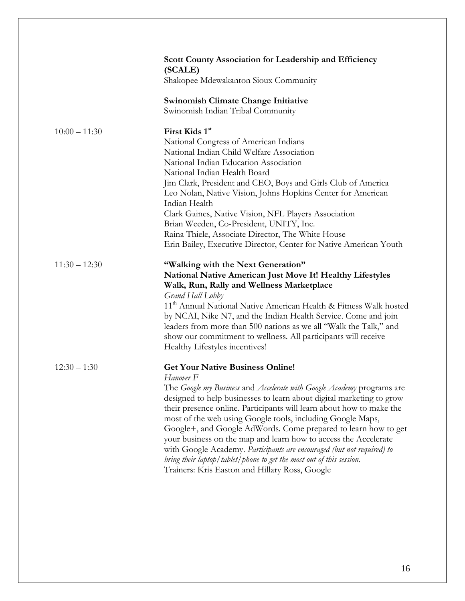|                 | Scott County Association for Leadership and Efficiency<br>(SCALE)                                                                            |
|-----------------|----------------------------------------------------------------------------------------------------------------------------------------------|
|                 | Shakopee Mdewakanton Sioux Community                                                                                                         |
|                 | <b>Swinomish Climate Change Initiative</b><br>Swinomish Indian Tribal Community                                                              |
|                 |                                                                                                                                              |
| $10:00 - 11:30$ | First Kids 1st                                                                                                                               |
|                 | National Congress of American Indians                                                                                                        |
|                 | National Indian Child Welfare Association                                                                                                    |
|                 | National Indian Education Association                                                                                                        |
|                 | National Indian Health Board                                                                                                                 |
|                 | Jim Clark, President and CEO, Boys and Girls Club of America                                                                                 |
|                 | Leo Nolan, Native Vision, Johns Hopkins Center for American                                                                                  |
|                 | Indian Health                                                                                                                                |
|                 | Clark Gaines, Native Vision, NFL Players Association                                                                                         |
|                 | Brian Weeden, Co-President, UNITY, Inc.                                                                                                      |
|                 | Raina Thiele, Associate Director, The White House                                                                                            |
|                 | Erin Bailey, Executive Director, Center for Native American Youth                                                                            |
| $11:30 - 12:30$ | "Walking with the Next Generation"                                                                                                           |
|                 | National Native American Just Move It! Healthy Lifestyles                                                                                    |
|                 | Walk, Run, Rally and Wellness Marketplace                                                                                                    |
|                 | Grand Hall Lobby                                                                                                                             |
|                 | 11 <sup>th</sup> Annual National Native American Health & Fitness Walk hosted                                                                |
|                 | by NCAI, Nike N7, and the Indian Health Service. Come and join                                                                               |
|                 | leaders from more than 500 nations as we all "Walk the Talk," and                                                                            |
|                 | show our commitment to wellness. All participants will receive                                                                               |
|                 | Healthy Lifestyles incentives!                                                                                                               |
|                 |                                                                                                                                              |
| $12:30 - 1:30$  | <b>Get Your Native Business Online!</b>                                                                                                      |
|                 | Hanover <sub>F</sub>                                                                                                                         |
|                 | The Google my Business and Accelerate with Google Academy programs are                                                                       |
|                 | designed to help businesses to learn about digital marketing to grow<br>their presence online. Participants will learn about how to make the |
|                 | most of the web using Google tools, including Google Maps,                                                                                   |
|                 | Google+, and Google AdWords. Come prepared to learn how to get                                                                               |
|                 | your business on the map and learn how to access the Accelerate                                                                              |
|                 | with Google Academy. Participants are encouraged (but not required) to                                                                       |
|                 | bring their laptop/tablet/phone to get the most out of this session.                                                                         |
|                 | Trainers: Kris Easton and Hillary Ross, Google                                                                                               |
|                 |                                                                                                                                              |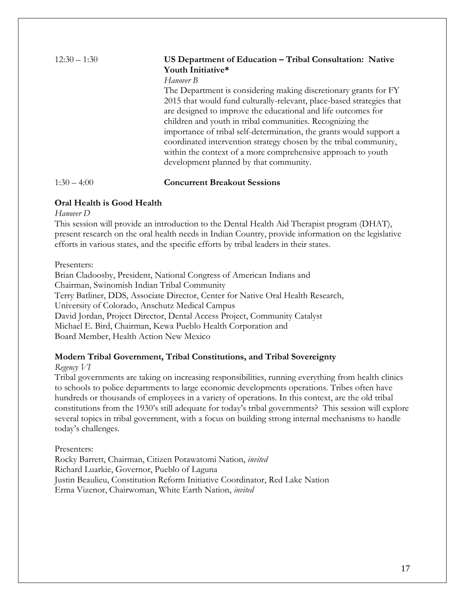### 12:30 – 1:30 **US Department of Education – Tribal Consultation: Native Youth Initiative\***

*Hanover B*

The Department is considering making discretionary grants for FY 2015 that would fund culturally-relevant, place-based strategies that are designed to improve the educational and life outcomes for children and youth in tribal communities. Recognizing the importance of tribal self-determination, the grants would support a coordinated intervention strategy chosen by the tribal community, within the context of a more comprehensive approach to youth development planned by that community.

1:30 – 4:00 **Concurrent Breakout Sessions**

### **Oral Health is Good Health**

*Hanover D*

This session will provide an introduction to the Dental Health Aid Therapist program (DHAT), present research on the oral health needs in Indian Country, provide information on the legislative efforts in various states, and the specific efforts by tribal leaders in their states.

Presenters:

Brian Cladoosby, President, National Congress of American Indians and Chairman, Swinomish Indian Tribal Community Terry Batliner, DDS, Associate Director, Center for Native Oral Health Research, University of Colorado, Anschutz Medical Campus David Jordan, Project Director, Dental Access Project, Community Catalyst Michael E. Bird, Chairman, Kewa Pueblo Health Corporation and Board Member, Health Action New Mexico

### **Modern Tribal Government, Tribal Constitutions, and Tribal Sovereignty**

*Regency VI*

Tribal governments are taking on increasing responsibilities, running everything from health clinics to schools to police departments to large economic developments operations. Tribes often have hundreds or thousands of employees in a variety of operations. In this context, are the old tribal constitutions from the 1930's still adequate for today's tribal governments? This session will explore several topics in tribal government, with a focus on building strong internal mechanisms to handle today's challenges.

Presenters:

Rocky Barrett, Chairman, Citizen Potawatomi Nation, *invited* Richard Luarkie, Governor, Pueblo of Laguna Justin Beaulieu, Constitution Reform Initiative Coordinator, Red Lake Nation Erma Vizenor, Chairwoman, White Earth Nation, *invited*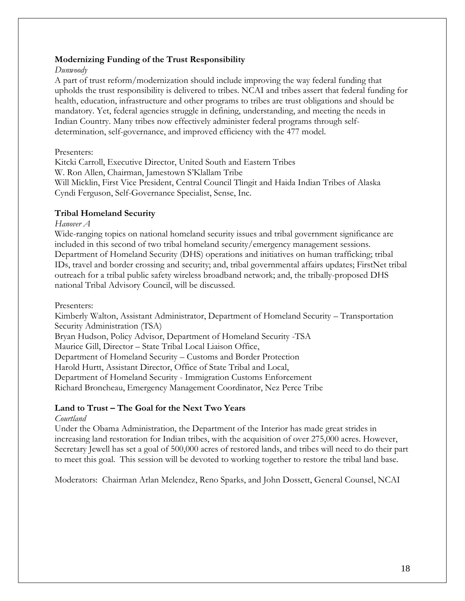#### **Modernizing Funding of the Trust Responsibility**

#### *Dunwoody*

A part of trust reform/modernization should include improving the way federal funding that upholds the trust responsibility is delivered to tribes. NCAI and tribes assert that federal funding for health, education, infrastructure and other programs to tribes are trust obligations and should be mandatory. Yet, federal agencies struggle in defining, understanding, and meeting the needs in Indian Country. Many tribes now effectively administer federal programs through selfdetermination, self-governance, and improved efficiency with the 477 model.

#### Presenters:

Kitcki Carroll, Executive Director, United South and Eastern Tribes W. Ron Allen, Chairman, Jamestown S'Klallam Tribe Will Micklin, First Vice President, Central Council Tlingit and Haida Indian Tribes of Alaska Cyndi Ferguson, Self-Governance Specialist, Sense, Inc.

#### **Tribal Homeland Security**

#### *Hanover A*

Wide-ranging topics on national homeland security issues and tribal government significance are included in this second of two tribal homeland security/emergency management sessions. Department of Homeland Security (DHS) operations and initiatives on human trafficking; tribal IDs, travel and border crossing and security; and, tribal governmental affairs updates; FirstNet tribal outreach for a tribal public safety wireless broadband network; and, the tribally-proposed DHS national Tribal Advisory Council, will be discussed.

#### Presenters:

Kimberly Walton, Assistant Administrator, Department of Homeland Security – Transportation Security Administration (TSA)

Bryan Hudson, Policy Advisor, Department of Homeland Security -TSA

Maurice Gill, Director – State Tribal Local Liaison Office,

Department of Homeland Security – Customs and Border Protection

Harold Hurtt, Assistant Director, Office of State Tribal and Local,

Department of Homeland Security - Immigration Customs Enforcement

Richard Broncheau, Emergency Management Coordinator, Nez Perce Tribe

#### **Land to Trust – The Goal for the Next Two Years**

#### *Courtland*

Under the Obama Administration, the Department of the Interior has made great strides in increasing land restoration for Indian tribes, with the acquisition of over 275,000 acres. However, Secretary Jewell has set a goal of 500,000 acres of restored lands, and tribes will need to do their part to meet this goal. This session will be devoted to working together to restore the tribal land base.

Moderators: Chairman Arlan Melendez, Reno Sparks, and John Dossett, General Counsel, NCAI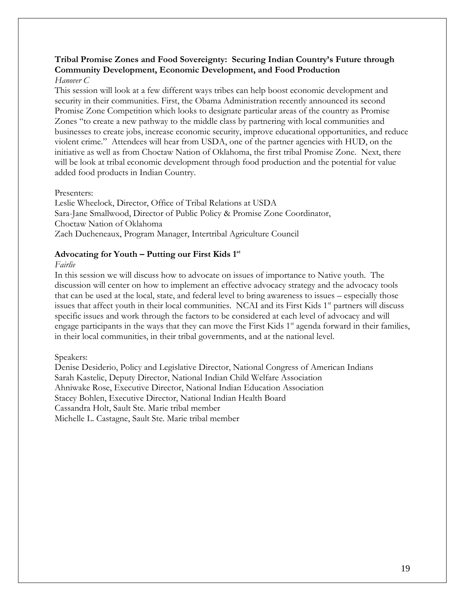#### **Tribal Promise Zones and Food Sovereignty: Securing Indian Country's Future through Community Development, Economic Development, and Food Production**  *Hanover C*

This session will look at a few different ways tribes can help boost economic development and security in their communities. First, the Obama Administration recently announced its second Promise Zone Competition which looks to designate particular areas of the country as Promise Zones "to create a new pathway to the middle class by partnering with local communities and businesses to create jobs, increase economic security, improve educational opportunities, and reduce violent crime." Attendees will hear from USDA, one of the partner agencies with HUD, on the initiative as well as from Choctaw Nation of Oklahoma, the first tribal Promise Zone. Next, there will be look at tribal economic development through food production and the potential for value added food products in Indian Country.

#### Presenters:

Leslie Wheelock, Director, Office of Tribal Relations at USDA Sara-Jane Smallwood, Director of Public Policy & Promise Zone Coordinator, Choctaw Nation of Oklahoma Zach Ducheneaux, Program Manager, Intertribal Agriculture Council

#### **Advocating for Youth – Putting our First Kids 1st**

#### *Fairlie*

In this session we will discuss how to advocate on issues of importance to Native youth. The discussion will center on how to implement an effective advocacy strategy and the advocacy tools that can be used at the local, state, and federal level to bring awareness to issues – especially those issues that affect youth in their local communities. NCAI and its First Kids 1<sup>st</sup> partners will discuss specific issues and work through the factors to be considered at each level of advocacy and will engage participants in the ways that they can move the First Kids  $1<sup>st</sup>$  agenda forward in their families, in their local communities, in their tribal governments, and at the national level.

#### Speakers:

Denise Desiderio, Policy and Legislative Director, National Congress of American Indians Sarah Kastelic, Deputy Director, National Indian Child Welfare Association Ahniwake Rose, Executive Director, National Indian Education Association Stacey Bohlen, Executive Director, National Indian Health Board Cassandra Holt, Sault Ste. Marie tribal member Michelle L. Castagne, Sault Ste. Marie tribal member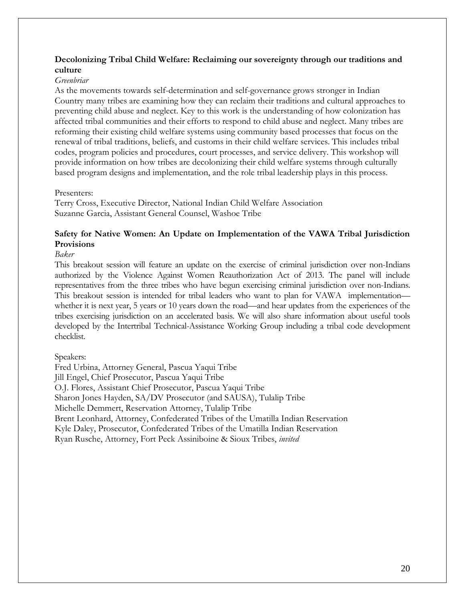#### **Decolonizing Tribal Child Welfare: Reclaiming our sovereignty through our traditions and culture**

#### *Greenbriar*

As the movements towards self-determination and self-governance grows stronger in Indian Country many tribes are examining how they can reclaim their traditions and cultural approaches to preventing child abuse and neglect. Key to this work is the understanding of how colonization has affected tribal communities and their efforts to respond to child abuse and neglect. Many tribes are reforming their existing child welfare systems using community based processes that focus on the renewal of tribal traditions, beliefs, and customs in their child welfare services. This includes tribal codes, program policies and procedures, court processes, and service delivery. This workshop will provide information on how tribes are decolonizing their child welfare systems through culturally based program designs and implementation, and the role tribal leadership plays in this process.

#### Presenters:

Terry Cross, Executive Director, National Indian Child Welfare Association Suzanne Garcia, Assistant General Counsel, Washoe Tribe

#### **Safety for Native Women: An Update on Implementation of the VAWA Tribal Jurisdiction Provisions**

#### *Baker*

This breakout session will feature an update on the exercise of criminal jurisdiction over non-Indians authorized by the Violence Against Women Reauthorization Act of 2013. The panel will include representatives from the three tribes who have begun exercising criminal jurisdiction over non-Indians. This breakout session is intended for tribal leaders who want to plan for VAWA implementation whether it is next year, 5 years or 10 years down the road—and hear updates from the experiences of the tribes exercising jurisdiction on an accelerated basis. We will also share information about useful tools developed by the Intertribal Technical-Assistance Working Group including a tribal code development checklist.

#### Speakers:

Fred Urbina, Attorney General, Pascua Yaqui Tribe Jill Engel, Chief Prosecutor, Pascua Yaqui Tribe O.J. Flores, Assistant Chief Prosecutor, Pascua Yaqui Tribe Sharon Jones Hayden, SA/DV Prosecutor (and SAUSA), Tulalip Tribe Michelle Demmert, Reservation Attorney, Tulalip Tribe Brent Leonhard, Attorney, Confederated Tribes of the Umatilla Indian Reservation Kyle Daley, Prosecutor, Confederated Tribes of the Umatilla Indian Reservation Ryan Rusche, Attorney, Fort Peck Assiniboine & Sioux Tribes, *invited*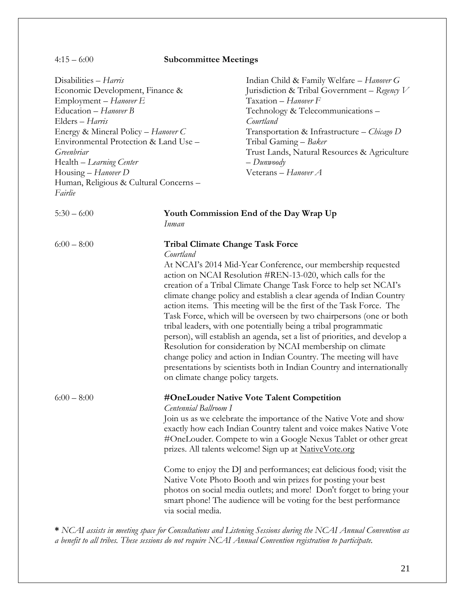4:15 – 6:00 **Subcommittee Meetings** Disabilities – *Harris* Economic Development, Finance & Employment – *Hanover E* Education – *Hanover B* Elders – *Harris* Energy & Mineral Policy – *Hanover C* Environmental Protection & Land Use – *Greenbriar* Health – *Learning Center* Housing – *Hanover D* Human, Religious & Cultural Concerns – *Fairlie* Indian Child & Family Welfare – *Hanover G* Jurisdiction & Tribal Government – *Regency V* Taxation – *Hanover F* Technology & Telecommunications – *Courtland* Transportation & Infrastructure – *Chicago D* Tribal Gaming – *Baker* Trust Lands, Natural Resources & Agriculture – *Dunwoody* Veterans – *Hanover A* 5:30 – 6:00 **Youth Commission End of the Day Wrap Up** *Inman* 6:00 – 8:00 **Tribal Climate Change Task Force** *Courtland* At NCAI's 2014 Mid-Year Conference, our membership requested action on NCAI Resolution #REN-13-020, which calls for the creation of a Tribal Climate Change Task Force to help set NCAI's climate change policy and establish a clear agenda of Indian Country action items. This meeting will be the first of the Task Force. The Task Force, which will be overseen by two chairpersons (one or both tribal leaders, with one potentially being a tribal programmatic person), will establish an agenda, set a list of priorities, and develop a Resolution for consideration by NCAI membership on climate change policy and action in Indian Country. The meeting will have presentations by scientists both in Indian Country and internationally on climate change policy targets. 6:00 – 8:00 **#OneLouder Native Vote Talent Competition** *Centennial Ballroom I* Join us as we celebrate the importance of the Native Vote and show exactly how each Indian Country talent and voice makes Native Vote #OneLouder. Compete to win a Google Nexus Tablet or other great prizes. All talents welcome! Sign up at NativeVote.org Come to enjoy the DJ and performances; eat delicious food; visit the Native Vote Photo Booth and win prizes for posting your best photos on social media outlets; and more! Don't forget to bring your smart phone! The audience will be voting for the best performance via social media.

**\*** *NCAI assists in meeting space for Consultations and Listening Sessions during the NCAI Annual Convention as a benefit to all tribes. These sessions do not require NCAI Annual Convention registration to participate.*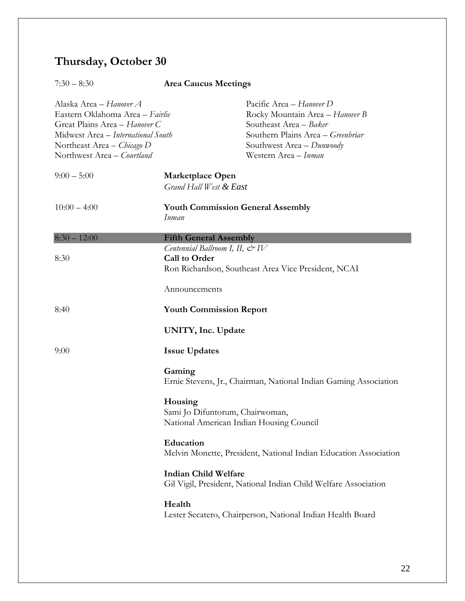# **Thursday, October 30**

| $7:30 - 8:30$                                                                                                                                                                                        | <b>Area Caucus Meetings</b>                                                            |                                                                                                                                                                                 |
|------------------------------------------------------------------------------------------------------------------------------------------------------------------------------------------------------|----------------------------------------------------------------------------------------|---------------------------------------------------------------------------------------------------------------------------------------------------------------------------------|
| Alaska Area – <i>Hanover A</i><br>Eastern Oklahoma Area – Fairlie<br>Great Plains Area - Hanover C<br>Midwest Area - International South<br>Northeast Area – Chicago D<br>Northwest Area - Courtland |                                                                                        | Pacific Area - Hanover D<br>Rocky Mountain Area - Hanover B<br>Southeast Area - Baker<br>Southern Plains Area - Greenbriar<br>Southwest Area - Dunwoody<br>Western Area - Inman |
| $9:00-5:00$                                                                                                                                                                                          | Marketplace Open<br>Grand Hall West & East                                             |                                                                                                                                                                                 |
| $10:00 - 4:00$                                                                                                                                                                                       | <b>Youth Commission General Assembly</b><br>Inman                                      |                                                                                                                                                                                 |
| $8:30 - 12:00$                                                                                                                                                                                       | <b>Fifth General Assembly</b>                                                          |                                                                                                                                                                                 |
| 8:30                                                                                                                                                                                                 | Centennial Ballroom I, II, $\mathcal{Q}$ <sup>2</sup> IV<br>Call to Order              | Ron Richardson, Southeast Area Vice President, NCAI                                                                                                                             |
|                                                                                                                                                                                                      | Announcements                                                                          |                                                                                                                                                                                 |
| 8:40                                                                                                                                                                                                 | <b>Youth Commission Report</b>                                                         |                                                                                                                                                                                 |
|                                                                                                                                                                                                      | UNITY, Inc. Update                                                                     |                                                                                                                                                                                 |
| 9:00                                                                                                                                                                                                 | <b>Issue Updates</b>                                                                   |                                                                                                                                                                                 |
|                                                                                                                                                                                                      | Gaming                                                                                 | Ernie Stevens, Jr., Chairman, National Indian Gaming Association                                                                                                                |
|                                                                                                                                                                                                      | Housing<br>Sami Jo Difuntorum, Chairwoman,<br>National American Indian Housing Council |                                                                                                                                                                                 |
|                                                                                                                                                                                                      | Education                                                                              | Melvin Monette, President, National Indian Education Association                                                                                                                |
|                                                                                                                                                                                                      | <b>Indian Child Welfare</b>                                                            | Gil Vigil, President, National Indian Child Welfare Association                                                                                                                 |
|                                                                                                                                                                                                      | Health                                                                                 | Lester Secatero, Chairperson, National Indian Health Board                                                                                                                      |
|                                                                                                                                                                                                      |                                                                                        |                                                                                                                                                                                 |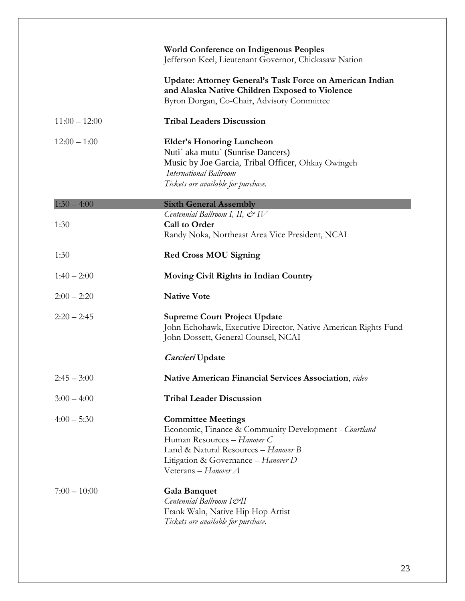|                 | <b>World Conference on Indigenous Peoples</b><br>Jefferson Keel, Lieutenant Governor, Chickasaw Nation                                                                                                                   |
|-----------------|--------------------------------------------------------------------------------------------------------------------------------------------------------------------------------------------------------------------------|
|                 | Update: Attorney General's Task Force on American Indian<br>and Alaska Native Children Exposed to Violence<br>Byron Dorgan, Co-Chair, Advisory Committee                                                                 |
| $11:00 - 12:00$ | <b>Tribal Leaders Discussion</b>                                                                                                                                                                                         |
| $12:00 - 1:00$  | <b>Elder's Honoring Luncheon</b><br>Nuti' aka mutu' (Sunrise Dancers)<br>Music by Joe Garcia, Tribal Officer, Ohkay Owingeh<br><b>International Ballroom</b><br>Tickets are available for purchase.                      |
| $1:30 - 4:00$   | <b>Sixth General Assembly</b>                                                                                                                                                                                            |
| 1:30            | Centennial Ballroom I, II, $\mathcal{Q}$ <sup>y</sup> IV<br><b>Call to Order</b><br>Randy Noka, Northeast Area Vice President, NCAI                                                                                      |
| 1:30            | <b>Red Cross MOU Signing</b>                                                                                                                                                                                             |
| $1:40 - 2:00$   | Moving Civil Rights in Indian Country                                                                                                                                                                                    |
| $2:00 - 2:20$   | <b>Native Vote</b>                                                                                                                                                                                                       |
| $2:20 - 2:45$   | <b>Supreme Court Project Update</b><br>John Echohawk, Executive Director, Native American Rights Fund<br>John Dossett, General Counsel, NCAI                                                                             |
|                 | Carcieri Update                                                                                                                                                                                                          |
| $2:45 - 3:00$   | <b>Native American Financial Services Association</b> , video                                                                                                                                                            |
| $3:00 - 4:00$   | <b>Tribal Leader Discussion</b>                                                                                                                                                                                          |
| $4:00 - 5:30$   | <b>Committee Meetings</b><br>Economic, Finance & Community Development - Courtland<br>Human Resources - Hanover C<br>Land & Natural Resources - Hanover B<br>Litigation & Governance - Hanover D<br>Veterans - Hanover A |
| $7:00 - 10:00$  | <b>Gala Banquet</b><br>Centennial Ballroom I&II<br>Frank Waln, Native Hip Hop Artist<br>Tickets are available for purchase.                                                                                              |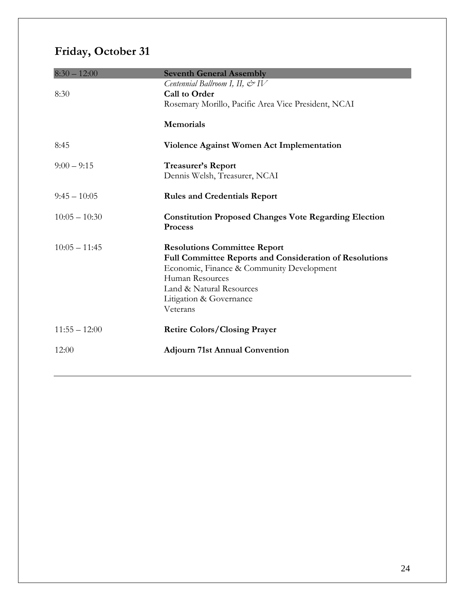# **Friday, October 31**

| $8:30 - 12:00$  | <b>Seventh General Assembly</b>                                                                |
|-----------------|------------------------------------------------------------------------------------------------|
|                 | Centennial Ballroom I, II, $\mathcal{Q}$ IV                                                    |
| 8:30            | <b>Call to Order</b>                                                                           |
|                 | Rosemary Morillo, Pacific Area Vice President, NCAI                                            |
|                 | <b>Memorials</b>                                                                               |
| 8:45            | <b>Violence Against Women Act Implementation</b>                                               |
| $9:00 - 9:15$   | Treasurer's Report                                                                             |
|                 | Dennis Welsh, Treasurer, NCAI                                                                  |
|                 |                                                                                                |
| $9:45 - 10:05$  | <b>Rules and Credentials Report</b>                                                            |
|                 |                                                                                                |
| $10:05 - 10:30$ | <b>Constitution Proposed Changes Vote Regarding Election</b>                                   |
|                 | Process                                                                                        |
| $10:05 - 11:45$ |                                                                                                |
|                 | <b>Resolutions Committee Report</b><br>Full Committee Reports and Consideration of Resolutions |
|                 | Economic, Finance & Community Development                                                      |
|                 | Human Resources                                                                                |
|                 | Land & Natural Resources                                                                       |
|                 | Litigation & Governance                                                                        |
|                 | Veterans                                                                                       |
|                 |                                                                                                |
| $11:55 - 12:00$ | <b>Retire Colors/Closing Prayer</b>                                                            |
| 12:00           | <b>Adjourn 71st Annual Convention</b>                                                          |
|                 |                                                                                                |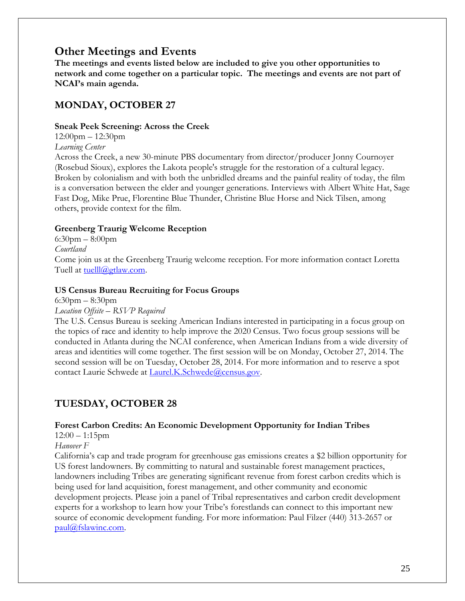### **Other Meetings and Events**

**The meetings and events listed below are included to give you other opportunities to network and come together on a particular topic. The meetings and events are not part of NCAI's main agenda.**

### **MONDAY, OCTOBER 27**

#### **Sneak Peek Screening: Across the Creek**

12:00pm – 12:30pm

*Learning Center*

Across the Creek, a new 30-minute PBS documentary from director/producer Jonny Cournoyer (Rosebud Sioux), explores the Lakota people's struggle for the restoration of a cultural legacy. Broken by colonialism and with both the unbridled dreams and the painful reality of today, the film is a conversation between the elder and younger generations. Interviews with Albert White Hat, Sage Fast Dog, Mike Prue, Florentine Blue Thunder, Christine Blue Horse and Nick Tilsen, among others, provide context for the film.

#### **Greenberg Traurig Welcome Reception**

6:30pm – 8:00pm *Courtland* Come join us at the Greenberg Traurig welcome reception. For more information contact Loretta Tuell at [tuelll@gtlaw.com.](mailto:tuelll@gtlaw.com)

#### **US Census Bureau Recruiting for Focus Groups**

6:30pm – 8:30pm

#### *Location Offsite – RSVP Required*

The U.S. Census Bureau is seeking American Indians interested in participating in a focus group on the topics of race and identity to help improve the 2020 Census. Two focus group sessions will be conducted in Atlanta during the NCAI conference, when American Indians from a wide diversity of areas and identities will come together. The first session will be on Monday, October 27, 2014. The second session will be on Tuesday, October 28, 2014. For more information and to reserve a spot contact Laurie Schwede at [Laurel.K.Schwede@census.gov.](mailto:Laurel.K.Schwede@census.gov)

### **TUESDAY, OCTOBER 28**

#### **Forest Carbon Credits: An Economic Development Opportunity for Indian Tribes**

#### $12:00 - 1:15$ pm

#### *Hanover F*

California's cap and trade program for greenhouse gas emissions creates a \$2 billion opportunity for US forest landowners. By committing to natural and sustainable forest management practices, landowners including Tribes are generating significant revenue from forest carbon credits which is being used for land acquisition, forest management, and other community and economic development projects. Please join a panel of Tribal representatives and carbon credit development experts for a workshop to learn how your Tribe's forestlands can connect to this important new source of economic development funding. For more information: Paul Filzer (440) 313-2657 or [paul@fslawinc.com.](mailto:paul@fslawinc.com)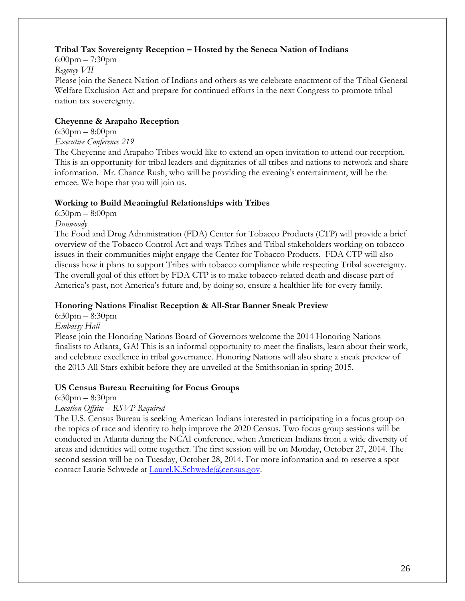#### **Tribal Tax Sovereignty Reception – Hosted by the Seneca Nation of Indians**

6:00pm – 7:30pm *Regency VII* Please join the Seneca Nation of Indians and others as we celebrate enactment of the Tribal General Welfare Exclusion Act and prepare for continued efforts in the next Congress to promote tribal nation tax sovereignty.

#### **Cheyenne & Arapaho Reception**

6:30pm – 8:00pm

*Executive Conference 219*

The Cheyenne and Arapaho Tribes would like to extend an open invitation to attend our reception. This is an opportunity for tribal leaders and dignitaries of all tribes and nations to network and share information. Mr. Chance Rush, who will be providing the evening's entertainment, will be the emcee. We hope that you will join us.

#### **Working to Build Meaningful Relationships with Tribes**

 $6:30$ pm –  $8:00$ pm

*Dunwoody*

The Food and Drug Administration (FDA) Center for Tobacco Products (CTP) will provide a brief overview of the Tobacco Control Act and ways Tribes and Tribal stakeholders working on tobacco issues in their communities might engage the Center for Tobacco Products. FDA CTP will also discuss how it plans to support Tribes with tobacco compliance while respecting Tribal sovereignty. The overall goal of this effort by FDA CTP is to make tobacco-related death and disease part of America's past, not America's future and, by doing so, ensure a healthier life for every family.

#### **Honoring Nations Finalist Reception & All-Star Banner Sneak Preview**

6:30pm – 8:30pm

*Embassy Hall*

Please join the Honoring Nations Board of Governors welcome the 2014 Honoring Nations finalists to Atlanta, GA! This is an informal opportunity to meet the finalists, learn about their work, and celebrate excellence in tribal governance. Honoring Nations will also share a sneak preview of the 2013 All-Stars exhibit before they are unveiled at the Smithsonian in spring 2015.

#### **US Census Bureau Recruiting for Focus Groups**

6:30pm – 8:30pm

*Location Offsite – RSVP Required*

The U.S. Census Bureau is seeking American Indians interested in participating in a focus group on the topics of race and identity to help improve the 2020 Census. Two focus group sessions will be conducted in Atlanta during the NCAI conference, when American Indians from a wide diversity of areas and identities will come together. The first session will be on Monday, October 27, 2014. The second session will be on Tuesday, October 28, 2014. For more information and to reserve a spot contact Laurie Schwede at [Laurel.K.Schwede@census.gov.](mailto:Laurel.K.Schwede@census.gov)